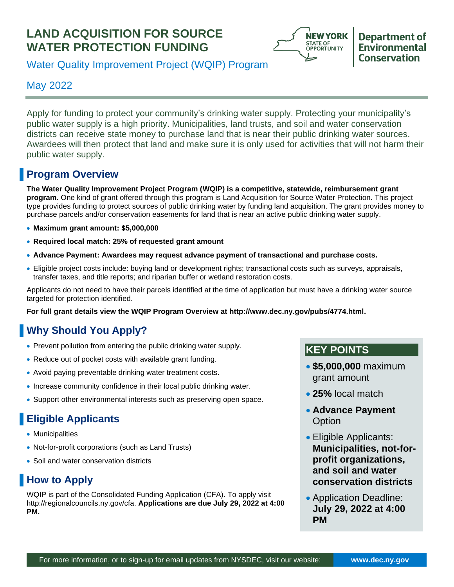# **LAND ACQUISITION FOR SOURCE WATER PROTECTION FUNDING**



## **Department of** Environmental **Conservation**

Water Quality Improvement Project (WQIP) Program

# May 2022

Apply for funding to protect your community's drinking water supply. Protecting your municipality's public water supply is a high priority. Municipalities, land trusts, and soil and water conservation districts can receive state money to purchase land that is near their public drinking water sources. Awardees will then protect that land and make sure it is only used for activities that will not harm their public water supply.

# **Program Overview**

**The Water Quality Improvement Project Program (WQIP) is a competitive, statewide, reimbursement grant program.** One kind of grant offered through this program is Land Acquisition for Source Water Protection. This project type provides funding to protect sources of public drinking water by funding land acquisition. The grant provides money to purchase parcels and/or conservation easements for land that is near an active public drinking water supply.

- **Maximum grant amount: \$5,000,000**
- **Required local match: 25% of requested grant amount**
- **Advance Payment: Awardees may request advance payment of transactional and purchase costs.**
- Eligible project costs include: buying land or development rights; transactional costs such as surveys, appraisals, transfer taxes, and title reports; and riparian buffer or wetland restoration costs.

Applicants do not need to have their parcels identified at the time of application but must have a drinking water source targeted for protection identified.

**For full grant details view the WQIP Program Overview at [http://www.dec.ny.gov/pubs/4774.html.](http://www.dec.ny.gov/pubs/4774.html)** 

# **Why Should You Apply?**

- Prevent pollution from entering the public drinking water supply.
- Reduce out of pocket costs with available grant funding.
- Avoid paying preventable drinking water treatment costs.
- Increase community confidence in their local public drinking water.
- Support other environmental interests such as preserving open space.

# **Eligible Applicants**

- Municipalities
- Not-for-profit corporations (such as Land Trusts)
- Soil and water conservation districts

# **How to Apply**

WQIP is part of the Consolidated Funding Application (CFA). To apply visit [http://regionalcouncils.ny.gov/cfa.](http://regionalcouncils.ny.gov/cfa) **Applications are due July 29, 2022 at 4:00 PM.** 

## **KEY POINTS**

- **\$5,000,000** maximum grant amount
- **25%** local match
- **Advance Payment Option**
- Eligible Applicants: **Municipalities, not-forprofit organizations, and soil and water conservation districts**
- Application Deadline: **July 29, 2022 at 4:00 PM**